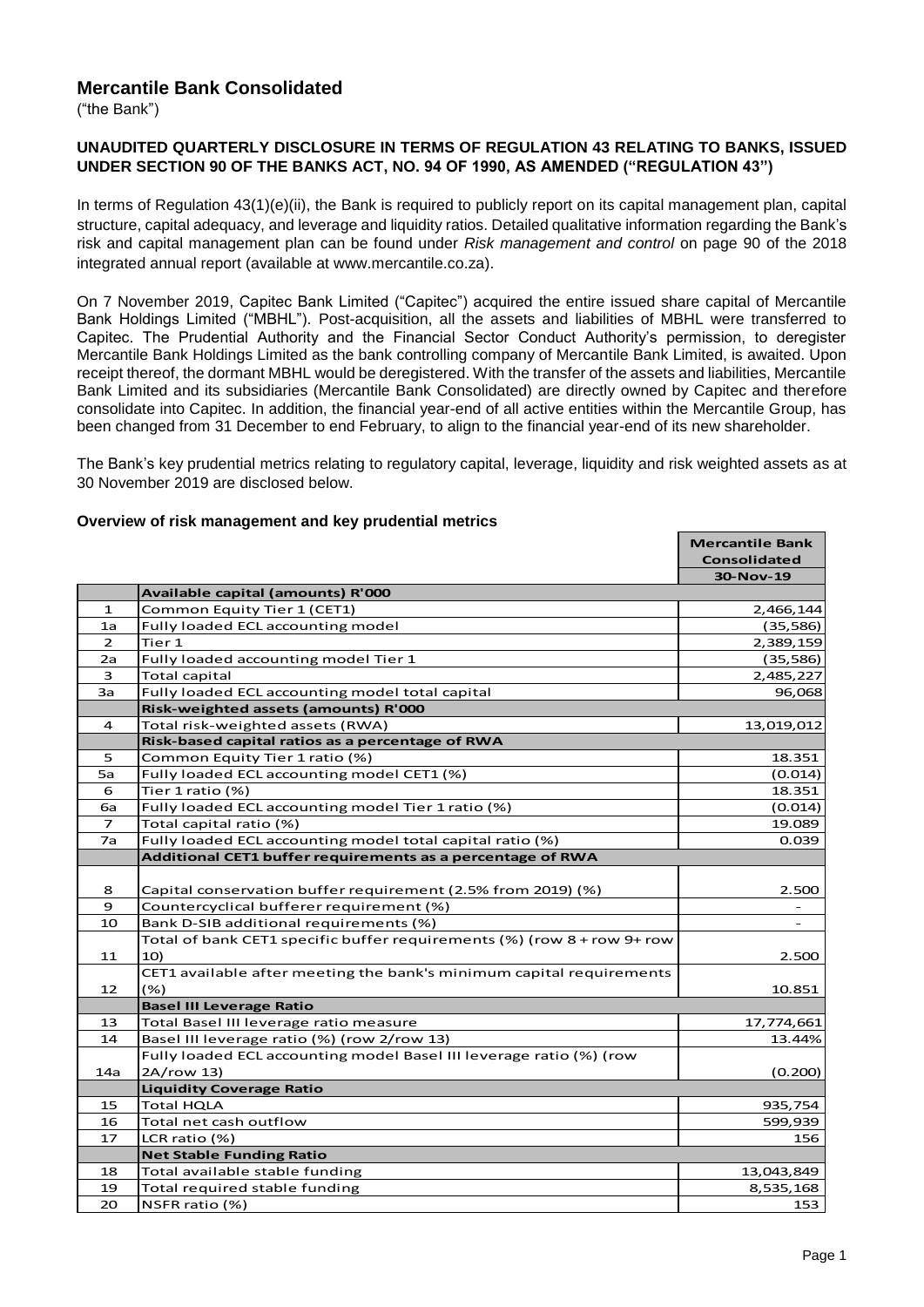## **Mercantile Bank Consolidated**

("the Bank")

### **UNAUDITED QUARTERLY DISCLOSURE IN TERMS OF REGULATION 43 RELATING TO BANKS, ISSUED UNDER SECTION 90 OF THE BANKS ACT, NO. 94 OF 1990, AS AMENDED ("REGULATION 43")**

In terms of Regulation 43(1)(e)(ii), the Bank is required to publicly report on its capital management plan, capital structure, capital adequacy, and leverage and liquidity ratios. Detailed qualitative information regarding the Bank's risk and capital management plan can be found under *Risk management and control* on page 90 of the 2018 integrated annual report (available at www.mercantile.co.za).

On 7 November 2019, Capitec Bank Limited ("Capitec") acquired the entire issued share capital of Mercantile Bank Holdings Limited ("MBHL"). Post-acquisition, all the assets and liabilities of MBHL were transferred to Capitec. The Prudential Authority and the Financial Sector Conduct Authority's permission, to deregister Mercantile Bank Holdings Limited as the bank controlling company of Mercantile Bank Limited, is awaited. Upon receipt thereof, the dormant MBHL would be deregistered. With the transfer of the assets and liabilities, Mercantile Bank Limited and its subsidiaries (Mercantile Bank Consolidated) are directly owned by Capitec and therefore consolidate into Capitec. In addition, the financial year-end of all active entities within the Mercantile Group, has been changed from 31 December to end February, to align to the financial year-end of its new shareholder.

The Bank's key prudential metrics relating to regulatory capital, leverage, liquidity and risk weighted assets as at 30 November 2019 are disclosed below.

### **Overview of risk management and key prudential metrics**

|         |                                                                                         | <b>Mercantile Bank</b> |
|---------|-----------------------------------------------------------------------------------------|------------------------|
|         |                                                                                         | <b>Consolidated</b>    |
|         |                                                                                         | 30-Nov-19              |
|         | <b>Available capital (amounts) R'000</b>                                                |                        |
| 1       | Common Equity Tier 1 (CET1)                                                             | 2,466,144              |
| 1a      | Fully loaded ECL accounting model<br>Tier 1                                             | (35, 586)              |
| 2       |                                                                                         | 2,389,159              |
| 2a      | Fully loaded accounting model Tier 1                                                    | (35, 586)              |
| з<br>За | <b>Total capital</b>                                                                    | 2,485,227              |
|         | Fully loaded ECL accounting model total capital<br>Risk-weighted assets (amounts) R'000 | 96,068                 |
| 4       | Total risk-weighted assets (RWA)                                                        | 13,019,012             |
|         | Risk-based capital ratios as a percentage of RWA                                        |                        |
| 5       | Common Equity Tier 1 ratio (%)                                                          | 18.351                 |
| 5a      | Fully loaded ECL accounting model CET1 (%)                                              | (0.014)                |
| 6       | Tier 1 ratio (%)                                                                        | 18.351                 |
| 6a      | Fully loaded ECL accounting model Tier 1 ratio (%)                                      | (0.014)                |
| 7       | Total capital ratio (%)                                                                 | 19.089                 |
| 7a      | Fully loaded ECL accounting model total capital ratio (%)                               | 0.039                  |
|         | <b>Additional CET1 buffer requirements as a percentage of RWA</b>                       |                        |
|         |                                                                                         |                        |
| 8       | Capital conservation buffer requirement (2.5% from 2019) (%)                            | 2.500                  |
| 9       | Countercyclical bufferer requirement (%)                                                |                        |
| 10      | Bank D-SIB additional requirements (%)                                                  |                        |
|         | Total of bank CET1 specific buffer requirements (%) (row 8 + row 9+ row                 |                        |
| 11      | 10)                                                                                     | 2.500                  |
|         | CET1 available after meeting the bank's minimum capital requirements                    |                        |
| 12      | (%)                                                                                     | 10.851                 |
|         | <b>Basel III Leverage Ratio</b>                                                         |                        |
| 13      | Total Basel III leverage ratio measure                                                  | 17,774,661             |
| 14      | Basel III leverage ratio (%) (row 2/row 13)                                             | 13.44%                 |
|         | Fully loaded ECL accounting model Basel III leverage ratio (%) (row                     |                        |
| 14a     | 2A/row 13)                                                                              | (0.200)                |
|         | <b>Liquidity Coverage Ratio</b>                                                         |                        |
| 15      | <b>Total HQLA</b>                                                                       | 935,754                |
| 16      | Total net cash outflow                                                                  | 599,939                |
| 17      | LCR ratio $(%)$                                                                         | 156                    |
|         | <b>Net Stable Funding Ratio</b>                                                         |                        |
| 18      | Total available stable funding                                                          | 13,043,849             |
| 19      | Total required stable funding                                                           | 8,535,168              |
| 20      | NSFR ratio (%)                                                                          | 153                    |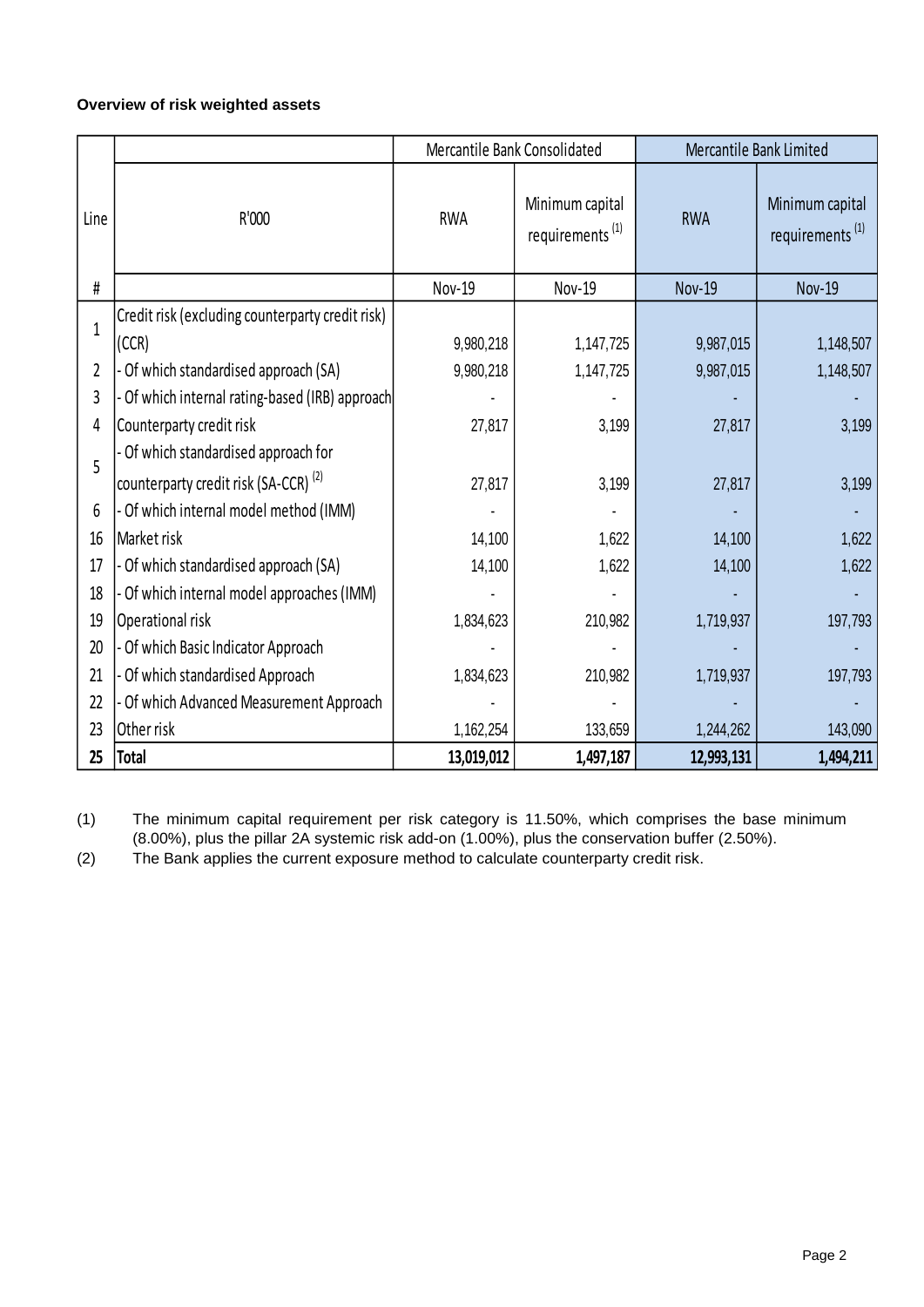### **Overview of risk weighted assets**

|              |                                                           | Mercantile Bank Consolidated |                                                | Mercantile Bank Limited |                                                |
|--------------|-----------------------------------------------------------|------------------------------|------------------------------------------------|-------------------------|------------------------------------------------|
| Line         | R'000                                                     | <b>RWA</b>                   | Minimum capital<br>requirements <sup>(1)</sup> | <b>RWA</b>              | Minimum capital<br>requirements <sup>(1)</sup> |
| #            |                                                           | <b>Nov-19</b>                | <b>Nov-19</b>                                  | <b>Nov-19</b>           | <b>Nov-19</b>                                  |
| $\mathbf{1}$ | Credit risk (excluding counterparty credit risk)<br>(CCR) | 9,980,218                    | 1,147,725                                      | 9,987,015               | 1,148,507                                      |
| 2            | - Of which standardised approach (SA)                     | 9,980,218                    | 1,147,725                                      | 9,987,015               | 1,148,507                                      |
| 3            | - Of which internal rating-based (IRB) approach           |                              |                                                |                         |                                                |
| 4            | Counterparty credit risk                                  | 27,817                       | 3,199                                          | 27,817                  | 3,199                                          |
| 5            | - Of which standardised approach for                      |                              |                                                |                         |                                                |
|              | counterparty credit risk (SA-CCR) <sup>(2)</sup>          | 27,817                       | 3,199                                          | 27,817                  | 3,199                                          |
| 6            | - Of which internal model method (IMM)                    |                              |                                                |                         |                                                |
| 16           | Market risk                                               | 14,100                       | 1,622                                          | 14,100                  | 1,622                                          |
| 17           | - Of which standardised approach (SA)                     | 14,100                       | 1,622                                          | 14,100                  | 1,622                                          |
| 18           | - Of which internal model approaches (IMM)                |                              |                                                |                         |                                                |
| 19           | Operational risk                                          | 1,834,623                    | 210,982                                        | 1,719,937               | 197,793                                        |
| 20           | - Of which Basic Indicator Approach                       |                              |                                                |                         |                                                |
| 21           | - Of which standardised Approach                          | 1,834,623                    | 210,982                                        | 1,719,937               | 197,793                                        |
| 22           | - Of which Advanced Measurement Approach                  |                              |                                                |                         |                                                |
| 23           | Other risk                                                | 1,162,254                    | 133,659                                        | 1,244,262               | 143,090                                        |
| 25           | <b>Total</b>                                              | 13,019,012                   | 1,497,187                                      | 12,993,131              | 1,494,211                                      |

(1) The minimum capital requirement per risk category is 11.50%, which comprises the base minimum (8.00%), plus the pillar 2A systemic risk add-on (1.00%), plus the conservation buffer (2.50%).

(2) The Bank applies the current exposure method to calculate counterparty credit risk.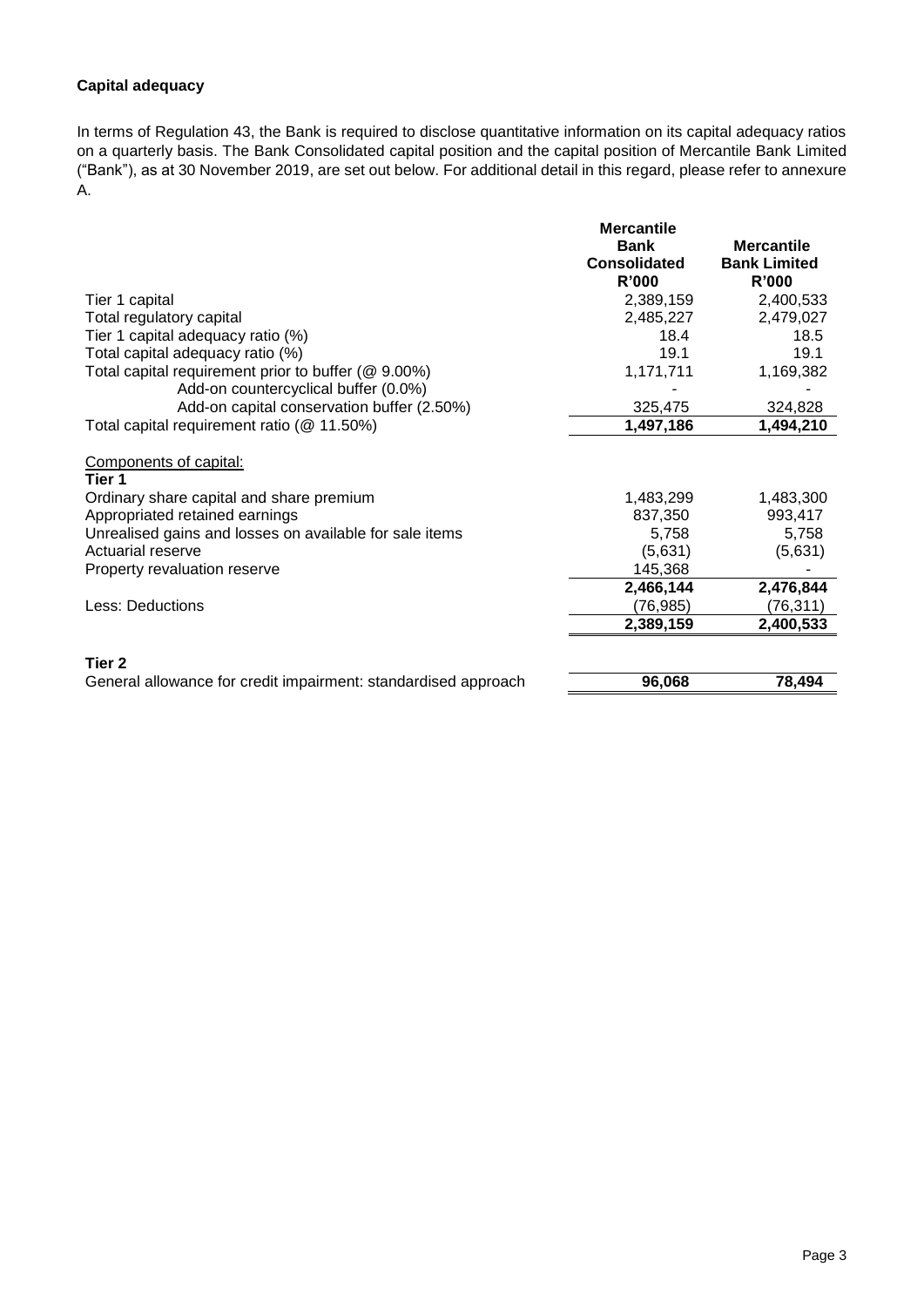### **Capital adequacy**

In terms of Regulation 43, the Bank is required to disclose quantitative information on its capital adequacy ratios on a quarterly basis. The Bank Consolidated capital position and the capital position of Mercantile Bank Limited ("Bank"), as at 30 November 2019, are set out below. For additional detail in this regard, please refer to annexure A.

|                                                                | <b>Mercantile</b><br><b>Bank</b><br><b>Consolidated</b><br>R'000 | <b>Mercantile</b><br><b>Bank Limited</b><br>R'000 |
|----------------------------------------------------------------|------------------------------------------------------------------|---------------------------------------------------|
| Tier 1 capital                                                 | 2,389,159                                                        | 2,400,533                                         |
| Total regulatory capital                                       | 2,485,227                                                        | 2,479,027                                         |
| Tier 1 capital adequacy ratio (%)                              | 18.4                                                             | 18.5                                              |
| Total capital adequacy ratio (%)                               | 19.1                                                             | 19.1                                              |
| Total capital requirement prior to buffer (@ 9.00%)            | 1,171,711                                                        | 1,169,382                                         |
| Add-on countercyclical buffer (0.0%)                           |                                                                  |                                                   |
| Add-on capital conservation buffer (2.50%)                     | 325,475                                                          | 324,828                                           |
| Total capital requirement ratio (@ 11.50%)                     | 1,497,186                                                        | 1,494,210                                         |
| Components of capital:<br>Tier 1                               |                                                                  |                                                   |
| Ordinary share capital and share premium                       | 1,483,299                                                        | 1,483,300                                         |
| Appropriated retained earnings                                 | 837,350                                                          | 993,417                                           |
| Unrealised gains and losses on available for sale items        | 5,758                                                            | 5,758                                             |
| Actuarial reserve                                              | (5,631)                                                          | (5,631)                                           |
| Property revaluation reserve                                   | 145,368                                                          |                                                   |
|                                                                | 2,466,144                                                        | 2,476,844                                         |
| Less: Deductions                                               | (76, 985)                                                        | (76, 311)                                         |
|                                                                | 2,389,159                                                        | 2,400,533                                         |
| Tier <sub>2</sub>                                              |                                                                  |                                                   |
| General allowance for credit impairment: standardised approach | 96,068                                                           | 78,494                                            |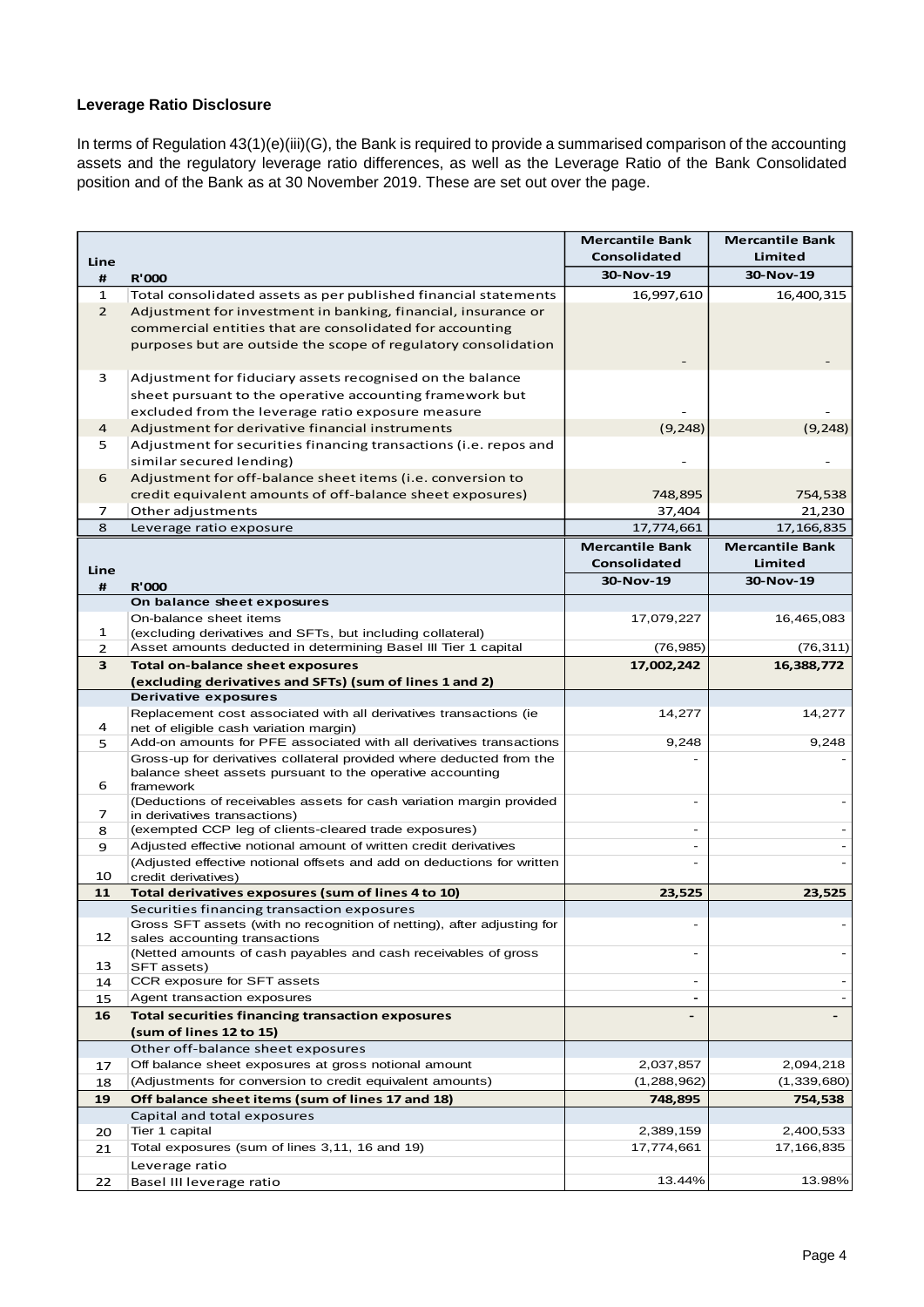#### **Leverage Ratio Disclosure**

In terms of Regulation 43(1)(e)(iii)(G), the Bank is required to provide a summarised comparison of the accounting assets and the regulatory leverage ratio differences, as well as the Leverage Ratio of the Bank Consolidated position and of the Bank as at 30 November 2019. These are set out over the page.

|                |                                                                                                         | <b>Mercantile Bank</b>   | <b>Mercantile Bank</b> |
|----------------|---------------------------------------------------------------------------------------------------------|--------------------------|------------------------|
| Line           |                                                                                                         | <b>Consolidated</b>      | Limited                |
| #              | <b>R'000</b>                                                                                            | 30-Nov-19                | 30-Nov-19              |
| $\mathbf{1}$   | Total consolidated assets as per published financial statements                                         | 16,997,610               | 16,400,315             |
| $\overline{2}$ | Adjustment for investment in banking, financial, insurance or                                           |                          |                        |
|                | commercial entities that are consolidated for accounting                                                |                          |                        |
|                | purposes but are outside the scope of regulatory consolidation                                          |                          |                        |
|                |                                                                                                         |                          |                        |
| 3              | Adjustment for fiduciary assets recognised on the balance                                               |                          |                        |
|                | sheet pursuant to the operative accounting framework but                                                |                          |                        |
|                | excluded from the leverage ratio exposure measure                                                       |                          |                        |
| 4              | Adjustment for derivative financial instruments                                                         | (9, 248)                 | (9, 248)               |
| 5              | Adjustment for securities financing transactions (i.e. repos and                                        |                          |                        |
|                | similar secured lending)                                                                                |                          |                        |
| 6              | Adjustment for off-balance sheet items (i.e. conversion to                                              |                          |                        |
|                | credit equivalent amounts of off-balance sheet exposures)                                               | 748,895                  | 754,538                |
| 7              | Other adjustments                                                                                       | 37,404                   | 21,230                 |
| 8              | Leverage ratio exposure                                                                                 | 17,774,661               | 17,166,835             |
|                |                                                                                                         | <b>Mercantile Bank</b>   | <b>Mercantile Bank</b> |
| Line           |                                                                                                         | <b>Consolidated</b>      | Limited                |
| #              | <b>R'000</b>                                                                                            | 30-Nov-19                | 30-Nov-19              |
|                | On balance sheet exposures                                                                              |                          |                        |
|                | On-balance sheet items                                                                                  | 17,079,227               | 16,465,083             |
| 1              | (excluding derivatives and SFTs, but including collateral)                                              |                          |                        |
| 2              | Asset amounts deducted in determining Basel III Tier 1 capital                                          | (76, 985)                | (76, 311)              |
| 3              | <b>Total on-balance sheet exposures</b>                                                                 | 17,002,242               | 16,388,772             |
|                | (excluding derivatives and SFTs) (sum of lines 1 and 2)                                                 |                          |                        |
|                | Derivative exposures<br>Replacement cost associated with all derivatives transactions (ie               | 14,277                   | 14,277                 |
| 4              | net of eligible cash variation margin)                                                                  |                          |                        |
| 5              | Add-on amounts for PFE associated with all derivatives transactions                                     | 9,248                    | 9,248                  |
|                | Gross-up for derivatives collateral provided where deducted from the                                    |                          |                        |
|                | balance sheet assets pursuant to the operative accounting                                               |                          |                        |
| 6              | framework                                                                                               | $\overline{a}$           |                        |
| 7              | (Deductions of receivables assets for cash variation margin provided<br>in derivatives transactions)    |                          |                        |
| 8              | (exempted CCP leg of clients-cleared trade exposures)                                                   | $\sim$                   |                        |
| 9              | Adjusted effective notional amount of written credit derivatives                                        |                          |                        |
|                | (Adjusted effective notional offsets and add on deductions for written                                  |                          |                        |
| 10             | credit derivatives)                                                                                     |                          |                        |
| 11             | Total derivatives exposures (sum of lines 4 to 10)                                                      | 23,525                   | 23,525                 |
|                | Securities financing transaction exposures                                                              |                          |                        |
| 12             | Gross SFT assets (with no recognition of netting), after adjusting for<br>sales accounting transactions |                          |                        |
|                | (Netted amounts of cash payables and cash receivables of gross                                          | $\blacksquare$           |                        |
| 13             | SFT assets)                                                                                             |                          |                        |
| 14             | CCR exposure for SFT assets                                                                             | $\overline{\phantom{a}}$ |                        |
| 15             | Agent transaction exposures                                                                             |                          |                        |
| 16             | <b>Total securities financing transaction exposures</b>                                                 |                          |                        |
|                | (sum of lines 12 to 15)                                                                                 |                          |                        |
|                | Other off-balance sheet exposures                                                                       |                          |                        |
| 17             | Off balance sheet exposures at gross notional amount                                                    | 2,037,857                | 2,094,218              |
| 18             | (Adjustments for conversion to credit equivalent amounts)                                               | (1,288,962)              | (1,339,680)            |
| 19             | Off balance sheet items (sum of lines 17 and 18)                                                        | 748,895                  | 754,538                |
|                | Capital and total exposures                                                                             |                          |                        |
| 20             | Tier 1 capital                                                                                          | 2,389,159                | 2,400,533              |
| 21             | Total exposures (sum of lines 3,11, 16 and 19)                                                          | 17,774,661               | 17,166,835             |
|                | Leverage ratio                                                                                          | 13.44%                   | 13.98%                 |
| 22             | Basel III leverage ratio                                                                                |                          |                        |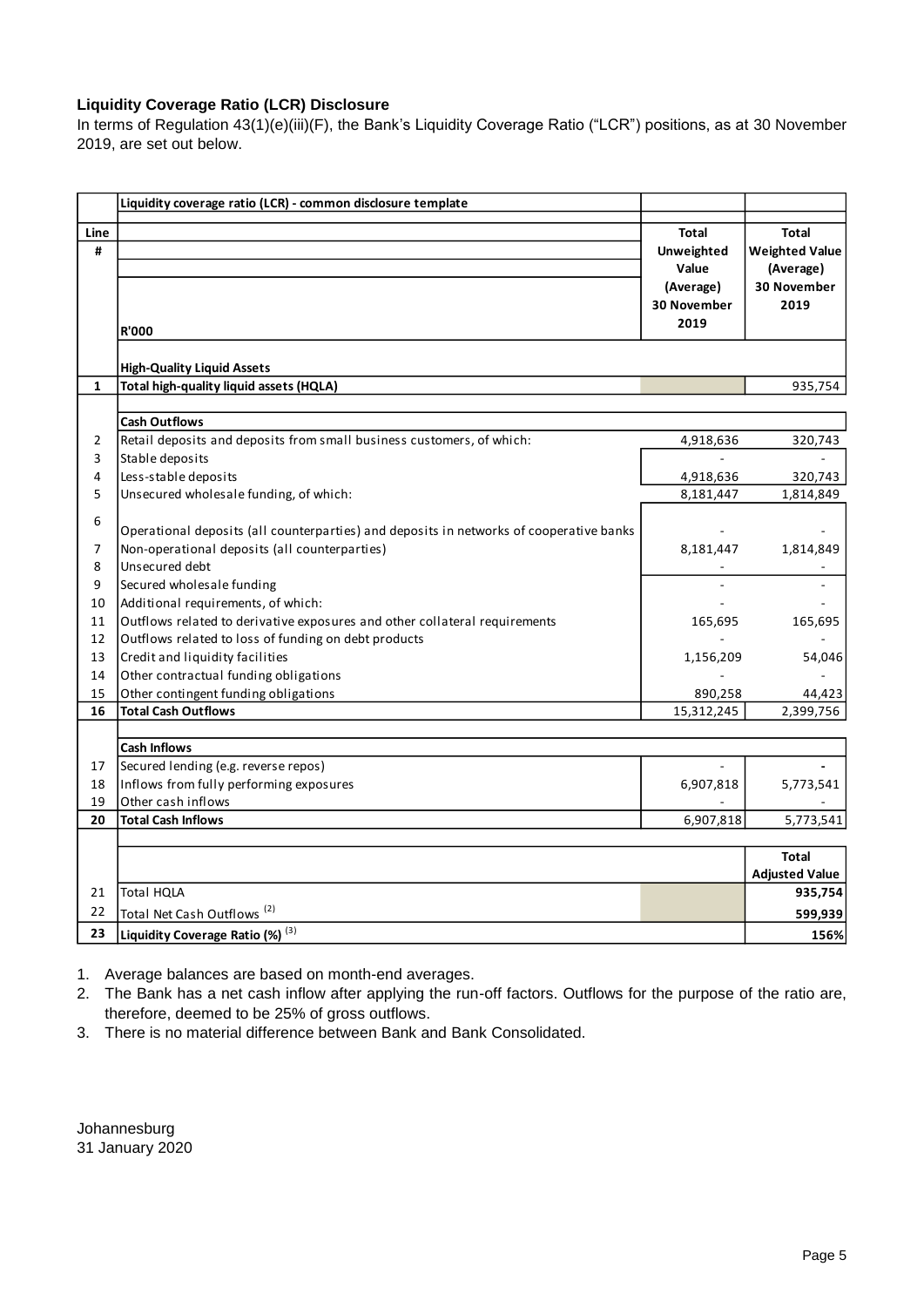### **Liquidity Coverage Ratio (LCR) Disclosure**

In terms of Regulation 43(1)(e)(iii)(F), the Bank's Liquidity Coverage Ratio ("LCR") positions, as at 30 November 2019, are set out below.

| Line         |                                                                                         | <b>Total</b> | Total                            |
|--------------|-----------------------------------------------------------------------------------------|--------------|----------------------------------|
| #            |                                                                                         | Unweighted   | <b>Weighted Value</b>            |
|              |                                                                                         | Value        | (Average)                        |
|              |                                                                                         | (Average)    | 30 November                      |
|              |                                                                                         | 30 November  | 2019                             |
|              |                                                                                         | 2019         |                                  |
|              | <b>R'000</b>                                                                            |              |                                  |
|              | <b>High-Quality Liquid Assets</b>                                                       |              |                                  |
| $\mathbf{1}$ | Total high-quality liquid assets (HQLA)                                                 |              | 935,754                          |
|              |                                                                                         |              |                                  |
|              | <b>Cash Outflows</b>                                                                    |              |                                  |
| 2            | Retail deposits and deposits from small business customers, of which:                   | 4,918,636    | 320,743                          |
| 3            | Stable deposits                                                                         |              |                                  |
| 4            | Less-stable deposits                                                                    | 4,918,636    | 320,743                          |
| 5            | Unsecured wholesale funding, of which:                                                  | 8,181,447    | 1,814,849                        |
| 6            |                                                                                         |              |                                  |
|              | Operational deposits (all counterparties) and deposits in networks of cooperative banks |              |                                  |
| 7            | Non-operational deposits (all counterparties)                                           | 8,181,447    | 1,814,849                        |
| 8            | Unsecured debt                                                                          |              |                                  |
| 9            | Secured wholesale funding                                                               |              |                                  |
| 10           | Additional requirements, of which:                                                      |              |                                  |
| 11           | Outflows related to derivative exposures and other collateral requirements              | 165,695      | 165,695                          |
| 12           | Outflows related to loss of funding on debt products                                    |              |                                  |
| 13           | Credit and liquidity facilities                                                         | 1,156,209    | 54,046                           |
| 14           | Other contractual funding obligations                                                   |              |                                  |
| 15           | Other contingent funding obligations                                                    | 890,258      | 44,423                           |
| 16           | <b>Total Cash Outflows</b>                                                              | 15,312,245   | 2,399,756                        |
|              |                                                                                         |              |                                  |
|              | <b>Cash Inflows</b>                                                                     |              |                                  |
| 17           | Secured lending (e.g. reverse repos)                                                    |              |                                  |
| 18           | Inflows from fully performing exposures                                                 | 6,907,818    | 5,773,541                        |
| 19           | Other cash inflows                                                                      |              |                                  |
| 20           | <b>Total Cash Inflows</b>                                                               | 6,907,818    | 5,773,541                        |
|              |                                                                                         |              |                                  |
|              |                                                                                         |              | <b>Total</b>                     |
| 21           | <b>Total HOLA</b>                                                                       |              | <b>Adjusted Value</b><br>935,754 |
| 22           | Total Net Cash Outflows <sup>(2)</sup>                                                  |              | 599,939                          |
| 23           | Liquidity Coverage Ratio (%) (3)                                                        |              | 156%                             |
|              |                                                                                         |              |                                  |

1. Average balances are based on month-end averages.

2. The Bank has a net cash inflow after applying the run-off factors. Outflows for the purpose of the ratio are, therefore, deemed to be 25% of gross outflows.

3. There is no material difference between Bank and Bank Consolidated.

Johannesburg 31 January 2020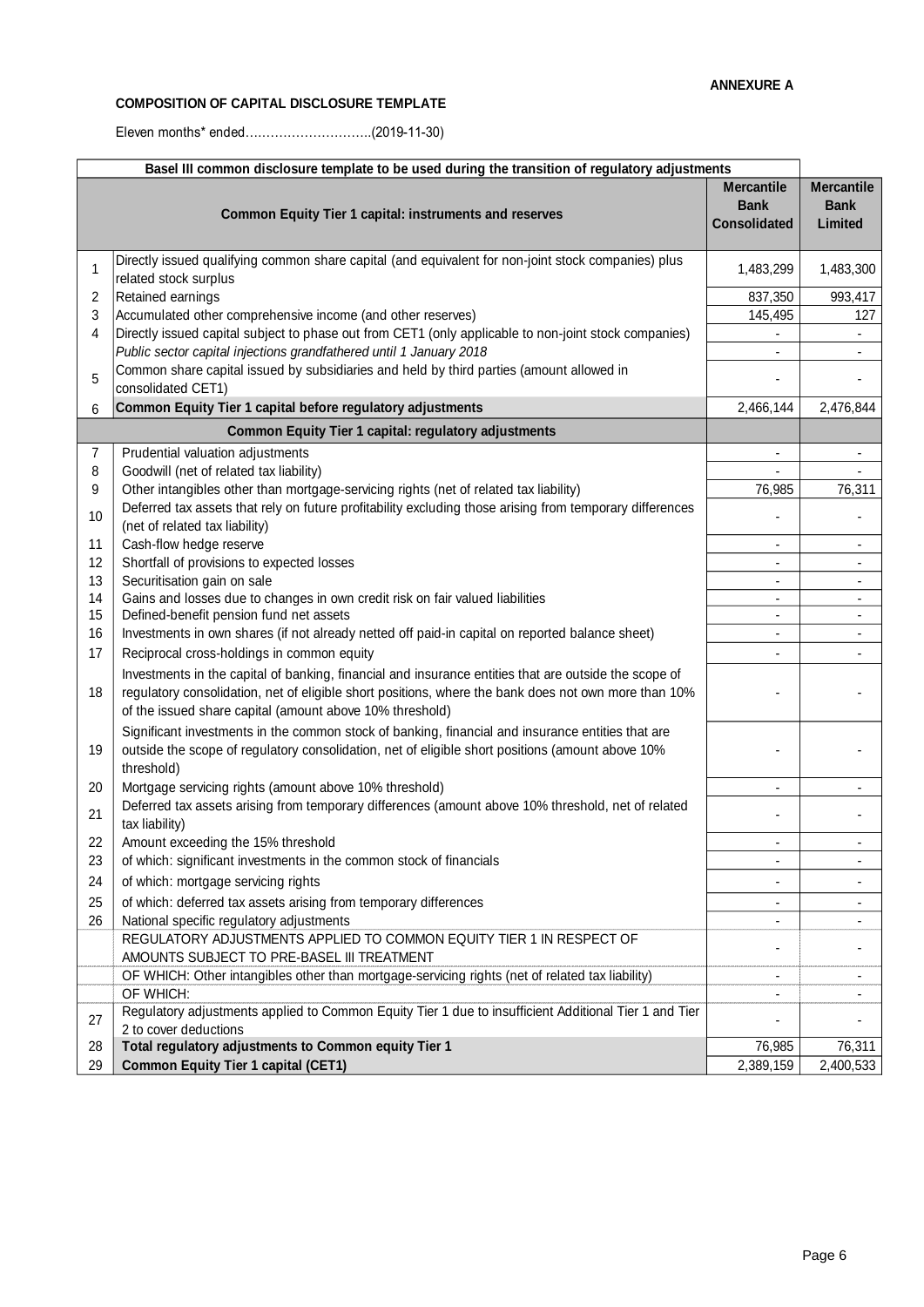### **ANNEXURE A**

# **COMPOSITION OF CAPITAL DISCLOSURE TEMPLATE**

Eleven months\* ended….……………………..(2019-11-30)

| Basel III common disclosure template to be used during the transition of regulatory adjustments |                                                                                                                                                                                                                                                                           |                                                         |                                             |
|-------------------------------------------------------------------------------------------------|---------------------------------------------------------------------------------------------------------------------------------------------------------------------------------------------------------------------------------------------------------------------------|---------------------------------------------------------|---------------------------------------------|
|                                                                                                 | <b>Common Equity Tier 1 capital: instruments and reserves</b>                                                                                                                                                                                                             | <b>Mercantile</b><br><b>Bank</b><br><b>Consolidated</b> | <b>Mercantile</b><br><b>Bank</b><br>Limited |
| 1                                                                                               | Directly issued qualifying common share capital (and equivalent for non-joint stock companies) plus<br>related stock surplus                                                                                                                                              | 1,483,299                                               | 1,483,300                                   |
| 2                                                                                               | Retained earnings                                                                                                                                                                                                                                                         | 837,350                                                 | 993,417                                     |
| 3                                                                                               | Accumulated other comprehensive income (and other reserves)                                                                                                                                                                                                               | 145,495                                                 | 127                                         |
| 4                                                                                               | Directly issued capital subject to phase out from CET1 (only applicable to non-joint stock companies)                                                                                                                                                                     |                                                         |                                             |
|                                                                                                 | Public sector capital injections grandfathered until 1 January 2018                                                                                                                                                                                                       |                                                         | $\overline{\phantom{0}}$                    |
|                                                                                                 | Common share capital issued by subsidiaries and held by third parties (amount allowed in                                                                                                                                                                                  |                                                         |                                             |
| 5                                                                                               | consolidated CET1)                                                                                                                                                                                                                                                        |                                                         |                                             |
| 6                                                                                               | Common Equity Tier 1 capital before regulatory adjustments                                                                                                                                                                                                                | 2,466,144                                               | 2,476,844                                   |
|                                                                                                 | Common Equity Tier 1 capital: regulatory adjustments                                                                                                                                                                                                                      |                                                         |                                             |
| $\overline{7}$                                                                                  | Prudential valuation adjustments                                                                                                                                                                                                                                          |                                                         | ÷,                                          |
| 8                                                                                               | Goodwill (net of related tax liability)                                                                                                                                                                                                                                   |                                                         |                                             |
| 9                                                                                               | Other intangibles other than mortgage-servicing rights (net of related tax liability)                                                                                                                                                                                     | 76,985                                                  | 76,311                                      |
| 10                                                                                              | Deferred tax assets that rely on future profitability excluding those arising from temporary differences<br>(net of related tax liability)                                                                                                                                |                                                         |                                             |
| 11                                                                                              | Cash-flow hedge reserve                                                                                                                                                                                                                                                   |                                                         |                                             |
| 12                                                                                              | Shortfall of provisions to expected losses                                                                                                                                                                                                                                |                                                         |                                             |
| 13                                                                                              | Securitisation gain on sale                                                                                                                                                                                                                                               |                                                         | ٠                                           |
| 14                                                                                              | Gains and losses due to changes in own credit risk on fair valued liabilities                                                                                                                                                                                             | $\blacksquare$                                          | $\blacksquare$                              |
| 15                                                                                              | Defined-benefit pension fund net assets                                                                                                                                                                                                                                   | $\blacksquare$                                          | ۰                                           |
| 16                                                                                              | Investments in own shares (if not already netted off paid-in capital on reported balance sheet)                                                                                                                                                                           |                                                         | $\overline{\phantom{a}}$                    |
| 17                                                                                              | Reciprocal cross-holdings in common equity                                                                                                                                                                                                                                |                                                         | ٠                                           |
| 18                                                                                              | Investments in the capital of banking, financial and insurance entities that are outside the scope of<br>regulatory consolidation, net of eligible short positions, where the bank does not own more than 10%<br>of the issued share capital (amount above 10% threshold) |                                                         |                                             |
| 19                                                                                              | Significant investments in the common stock of banking, financial and insurance entities that are<br>outside the scope of regulatory consolidation, net of eligible short positions (amount above 10%<br>threshold)                                                       |                                                         |                                             |
| 20                                                                                              | Mortgage servicing rights (amount above 10% threshold)                                                                                                                                                                                                                    |                                                         |                                             |
| 21                                                                                              | Deferred tax assets arising from temporary differences (amount above 10% threshold, net of related<br>tax liability)                                                                                                                                                      |                                                         |                                             |
| 22                                                                                              | Amount exceeding the 15% threshold                                                                                                                                                                                                                                        |                                                         |                                             |
| 23                                                                                              | of which: significant investments in the common stock of financials                                                                                                                                                                                                       |                                                         |                                             |
| 24                                                                                              | of which: mortgage servicing rights                                                                                                                                                                                                                                       |                                                         |                                             |
| 25                                                                                              | of which: deferred tax assets arising from temporary differences                                                                                                                                                                                                          |                                                         | -                                           |
| 26                                                                                              | National specific regulatory adjustments                                                                                                                                                                                                                                  |                                                         | ٠                                           |
|                                                                                                 | REGULATORY ADJUSTMENTS APPLIED TO COMMON EQUITY TIER 1 IN RESPECT OF                                                                                                                                                                                                      |                                                         |                                             |
|                                                                                                 | AMOUNTS SUBJECT TO PRE-BASEL III TREATMENT                                                                                                                                                                                                                                |                                                         |                                             |
|                                                                                                 | OF WHICH: Other intangibles other than mortgage-servicing rights (net of related tax liability)                                                                                                                                                                           |                                                         | ٠                                           |
|                                                                                                 | OF WHICH:                                                                                                                                                                                                                                                                 |                                                         |                                             |
| 27                                                                                              | Regulatory adjustments applied to Common Equity Tier 1 due to insufficient Additional Tier 1 and Tier<br>2 to cover deductions                                                                                                                                            |                                                         |                                             |
| 28                                                                                              | Total regulatory adjustments to Common equity Tier 1                                                                                                                                                                                                                      | 76,985                                                  | 76,311                                      |
| 29                                                                                              | <b>Common Equity Tier 1 capital (CET1)</b>                                                                                                                                                                                                                                | 2,389,159                                               | 2,400,533                                   |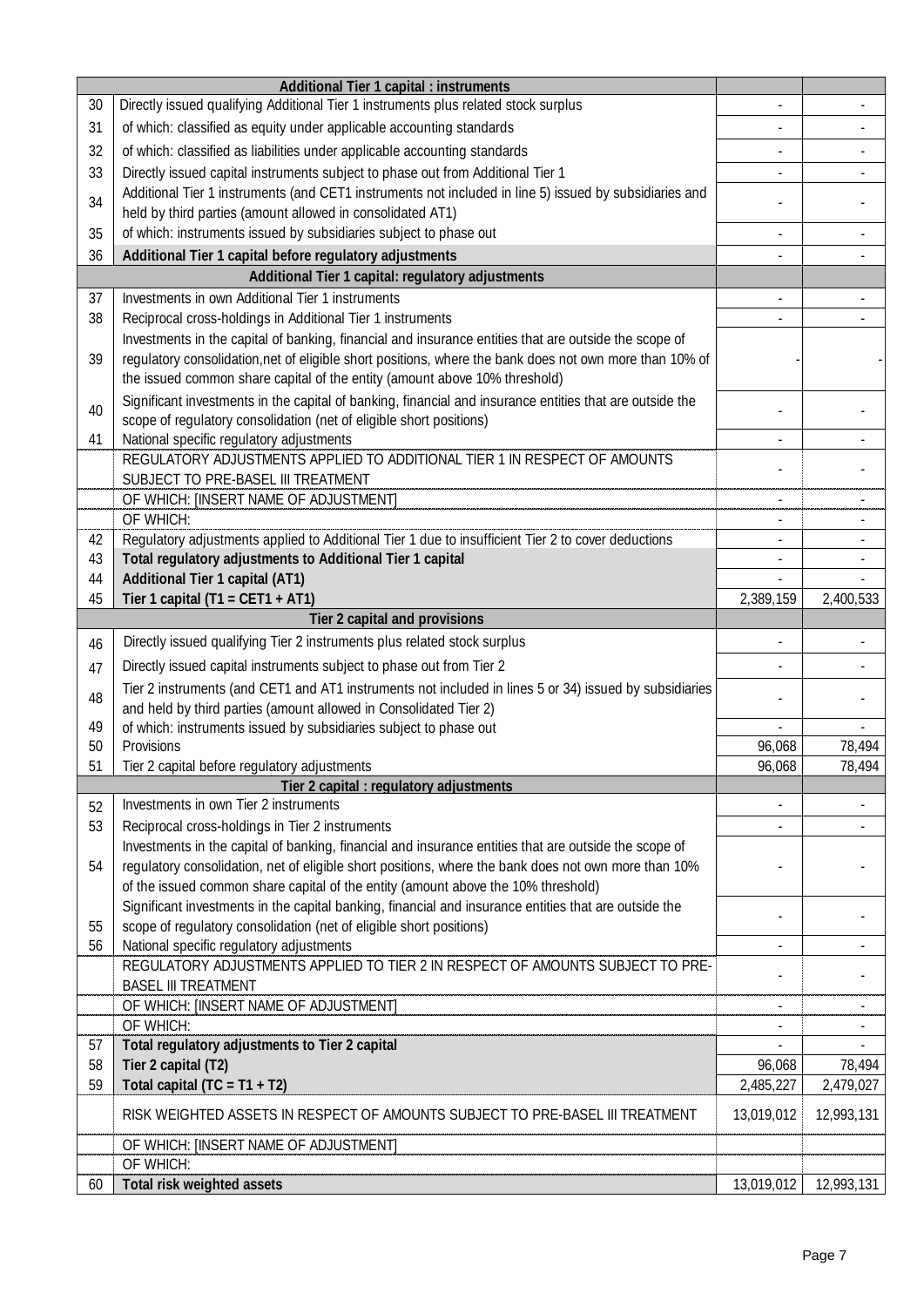|    | <b>Additional Tier 1 capital : instruments</b>                                                                                                                                            |                |                |
|----|-------------------------------------------------------------------------------------------------------------------------------------------------------------------------------------------|----------------|----------------|
| 30 | Directly issued qualifying Additional Tier 1 instruments plus related stock surplus                                                                                                       |                |                |
| 31 | of which: classified as equity under applicable accounting standards                                                                                                                      |                |                |
| 32 | of which: classified as liabilities under applicable accounting standards                                                                                                                 |                |                |
| 33 | Directly issued capital instruments subject to phase out from Additional Tier 1                                                                                                           |                | $\blacksquare$ |
|    | Additional Tier 1 instruments (and CET1 instruments not included in line 5) issued by subsidiaries and                                                                                    |                |                |
| 34 | held by third parties (amount allowed in consolidated AT1)                                                                                                                                |                |                |
| 35 | of which: instruments issued by subsidiaries subject to phase out                                                                                                                         |                |                |
| 36 | Additional Tier 1 capital before regulatory adjustments                                                                                                                                   |                |                |
|    | Additional Tier 1 capital: regulatory adjustments                                                                                                                                         |                |                |
| 37 | Investments in own Additional Tier 1 instruments                                                                                                                                          |                |                |
| 38 | Reciprocal cross-holdings in Additional Tier 1 instruments                                                                                                                                |                |                |
|    | Investments in the capital of banking, financial and insurance entities that are outside the scope of                                                                                     |                |                |
| 39 | regulatory consolidation, net of eligible short positions, where the bank does not own more than 10% of                                                                                   |                |                |
|    | the issued common share capital of the entity (amount above 10% threshold)                                                                                                                |                |                |
|    | Significant investments in the capital of banking, financial and insurance entities that are outside the                                                                                  |                |                |
| 40 | scope of regulatory consolidation (net of eligible short positions)                                                                                                                       |                |                |
| 41 | National specific regulatory adjustments                                                                                                                                                  |                |                |
|    | REGULATORY ADJUSTMENTS APPLIED TO ADDITIONAL TIER 1 IN RESPECT OF AMOUNTS                                                                                                                 |                |                |
|    | SUBJECT TO PRE-BASEL III TREATMENT                                                                                                                                                        |                |                |
|    | OF WHICH: [INSERT NAME OF ADJUSTMENT]                                                                                                                                                     |                |                |
|    | OF WHICH:                                                                                                                                                                                 |                |                |
| 42 | Regulatory adjustments applied to Additional Tier 1 due to insufficient Tier 2 to cover deductions                                                                                        | $\blacksquare$ | $\blacksquare$ |
| 43 | Total regulatory adjustments to Additional Tier 1 capital                                                                                                                                 |                |                |
| 44 | <b>Additional Tier 1 capital (AT1)</b>                                                                                                                                                    |                |                |
| 45 | Tier 1 capital (T1 = CET1 + AT1)                                                                                                                                                          | 2,389,159      | 2,400,533      |
|    | Tier 2 capital and provisions                                                                                                                                                             |                |                |
| 46 | Directly issued qualifying Tier 2 instruments plus related stock surplus                                                                                                                  |                |                |
| 47 | Directly issued capital instruments subject to phase out from Tier 2                                                                                                                      |                |                |
| 48 | Tier 2 instruments (and CET1 and AT1 instruments not included in lines 5 or 34) issued by subsidiaries                                                                                    |                |                |
|    | and held by third parties (amount allowed in Consolidated Tier 2)                                                                                                                         |                |                |
| 49 | of which: instruments issued by subsidiaries subject to phase out                                                                                                                         |                |                |
| 50 | Provisions                                                                                                                                                                                | 96,068         | 78,494         |
| 51 | Tier 2 capital before regulatory adjustments                                                                                                                                              | 96,068         | 78,494         |
|    | Tier 2 capital : regulatory adjustments                                                                                                                                                   |                |                |
| 52 | Investments in own Tier 2 instruments                                                                                                                                                     |                |                |
| 53 | Reciprocal cross-holdings in Tier 2 instruments                                                                                                                                           |                |                |
| 54 | Investments in the capital of banking, financial and insurance entities that are outside the scope of                                                                                     |                |                |
|    | regulatory consolidation, net of eligible short positions, where the bank does not own more than 10%<br>of the issued common share capital of the entity (amount above the 10% threshold) |                |                |
|    | Significant investments in the capital banking, financial and insurance entities that are outside the                                                                                     |                |                |
| 55 | scope of regulatory consolidation (net of eligible short positions)                                                                                                                       |                |                |
| 56 | National specific regulatory adjustments                                                                                                                                                  |                |                |
|    | REGULATORY ADJUSTMENTS APPLIED TO TIER 2 IN RESPECT OF AMOUNTS SUBJECT TO PRE-                                                                                                            |                |                |
|    | <b>BASEL III TREATMENT</b>                                                                                                                                                                |                |                |
|    | OF WHICH: [INSERT NAME OF ADJUSTMENT]                                                                                                                                                     |                |                |
|    | OF WHICH:                                                                                                                                                                                 |                |                |
| 57 | Total regulatory adjustments to Tier 2 capital                                                                                                                                            |                |                |
| 58 | Tier 2 capital (T2)                                                                                                                                                                       | 96,068         | 78,494         |
| 59 | Total capital $(TC = T1 + T2)$                                                                                                                                                            | 2,485,227      | 2,479,027      |
|    | RISK WEIGHTED ASSETS IN RESPECT OF AMOUNTS SUBJECT TO PRE-BASEL III TREATMENT                                                                                                             | 13,019,012     | 12,993,131     |
|    | OF WHICH: [INSERT NAME OF ADJUSTMENT]                                                                                                                                                     |                |                |
|    | OF WHICH:                                                                                                                                                                                 |                |                |
| 60 | Total risk weighted assets                                                                                                                                                                | 13,019,012     | 12,993,131     |